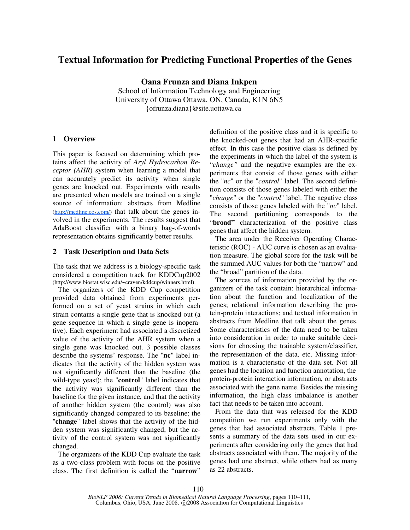# **Textual Information for Predicting Functional Properties of the Genes**

**Oana Frunza and Diana Inkpen**  School of Information Technology and Engineering University of Ottawa Ottawa, ON, Canada, K1N 6N5 {ofrunza,diana}@site.uottawa.ca

## **1 Overview**

This paper is focused on determining which proteins affect the activity of *Aryl Hydrocarbon Receptor (AHR*) system when learning a model that can accurately predict its activity when single genes are knocked out. Experiments with results are presented when models are trained on a single source of information: abstracts from Medline (http://medline.cos.com/) that talk about the genes involved in the experiments. The results suggest that AdaBoost classifier with a binary bag-of-words representation obtains significantly better results.

### **2 Task Description and Data Sets**

The task that we address is a biology-specific task considered a competition track for KDDCup2002 (http://www.biostat.wisc.edu/~craven/kddcup/winners.html).

 The organizers of the KDD Cup competition provided data obtained from experiments performed on a set of yeast strains in which each strain contains a single gene that is knocked out (a gene sequence in which a single gene is inoperative). Each experiment had associated a discretized value of the activity of the AHR system when a single gene was knocked out. 3 possible classes describe the systems' response. The "**nc**" label indicates that the activity of the hidden system was not significantly different than the baseline (the wild-type yeast); the "**control**" label indicates that the activity was significantly different than the baseline for the given instance, and that the activity of another hidden system (the control) was also significantly changed compared to its baseline; the "**change**" label shows that the activity of the hidden system was significantly changed, but the activity of the control system was not significantly changed.

 The organizers of the KDD Cup evaluate the task as a two-class problem with focus on the positive class. The first definition is called the "**narrow**"

definition of the positive class and it is specific to the knocked-out genes that had an AHR-specific effect. In this case the positive class is defined by the experiments in which the label of the system is "*change"* and the negative examples are the experiments that consist of those genes with either the "*nc*" or the "*control*" label. The second definition consists of those genes labeled with either the "*change*" or the "*control*" label. The negative class consists of those genes labeled with the "*nc*" label. The second partitioning corresponds to the "**broad"** characterization of the positive class genes that affect the hidden system.

 The area under the Receiver Operating Characteristic (ROC) - AUC curve is chosen as an evaluation measure. The global score for the task will be the summed AUC values for both the "narrow" and the "broad" partition of the data.

 The sources of information provided by the organizers of the task contain: hierarchical information about the function and localization of the genes; relational information describing the protein-protein interactions; and textual information in abstracts from Medline that talk about the genes. Some characteristics of the data need to be taken into consideration in order to make suitable decisions for choosing the trainable system/classifier, the representation of the data, etc. Missing information is a characteristic of the data set. Not all genes had the location and function annotation, the protein-protein interaction information, or abstracts associated with the gene name. Besides the missing information, the high class imbalance is another fact that needs to be taken into account.

 From the data that was released for the KDD competition we run experiments only with the genes that had associated abstracts. Table 1 presents a summary of the data sets used in our experiments after considering only the genes that had abstracts associated with them. The majority of the genes had one abstract, while others had as many as 22 abstracts.